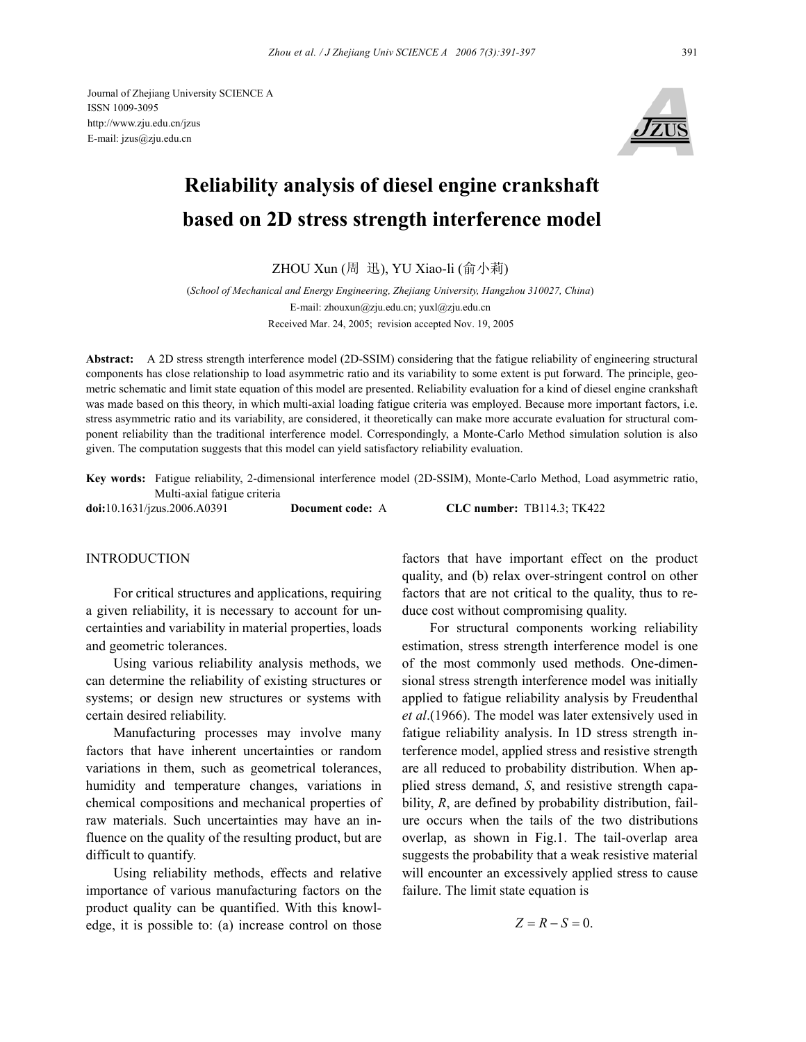Journal of Zhejiang University SCIENCE A ISSN 1009-3095 http://www.zju.edu.cn/jzus E-mail: jzus@zju.edu.cn



# **Reliability analysis of diesel engine crankshaft based on 2D stress strength interference model**

ZHOU Xun (周 迅), YU Xiao-li (俞小莉)

(*School of Mechanical and Energy Engineering, Zhejiang University, Hangzhou 310027, China*) E-mail: zhouxun@zju.edu.cn; yuxl@zju.edu.cn Received Mar. 24, 2005; revision accepted Nov. 19, 2005

**Abstract:** A 2D stress strength interference model (2D-SSIM) considering that the fatigue reliability of engineering structural components has close relationship to load asymmetric ratio and its variability to some extent is put forward. The principle, geometric schematic and limit state equation of this model are presented. Reliability evaluation for a kind of diesel engine crankshaft was made based on this theory, in which multi-axial loading fatigue criteria was employed. Because more important factors, i.e. stress asymmetric ratio and its variability, are considered, it theoretically can make more accurate evaluation for structural component reliability than the traditional interference model. Correspondingly, a Monte-Carlo Method simulation solution is also given. The computation suggests that this model can yield satisfactory reliability evaluation.

**Key words:** Fatigue reliability, 2-dimensional interference model (2D-SSIM), Monte-Carlo Method, Load asymmetric ratio, Multi-axial fatigue criteria **doi:**10.1631/jzus.2006.A0391 **Document code:** A **CLC number:** TB114.3; TK422

## INTRODUCTION

For critical structures and applications, requiring a given reliability, it is necessary to account for uncertainties and variability in material properties, loads and geometric tolerances.

Using various reliability analysis methods, we can determine the reliability of existing structures or systems; or design new structures or systems with certain desired reliability.

Manufacturing processes may involve many factors that have inherent uncertainties or random variations in them, such as geometrical tolerances, humidity and temperature changes, variations in chemical compositions and mechanical properties of raw materials. Such uncertainties may have an influence on the quality of the resulting product, but are difficult to quantify.

Using reliability methods, effects and relative importance of various manufacturing factors on the product quality can be quantified. With this knowledge, it is possible to: (a) increase control on those

factors that have important effect on the product quality, and (b) relax over-stringent control on other factors that are not critical to the quality, thus to reduce cost without compromising quality.

For structural components working reliability estimation, stress strength interference model is one of the most commonly used methods. One-dimensional stress strength interference model was initially applied to fatigue reliability analysis by Freudenthal *et al*.(1966). The model was later extensively used in fatigue reliability analysis. In 1D stress strength interference model, applied stress and resistive strength are all reduced to probability distribution. When applied stress demand, *S*, and resistive strength capability, *R*, are defined by probability distribution, failure occurs when the tails of the two distributions overlap, as shown in Fig.1. The tail-overlap area suggests the probability that a weak resistive material will encounter an excessively applied stress to cause failure. The limit state equation is

$$
Z=R-S=0.
$$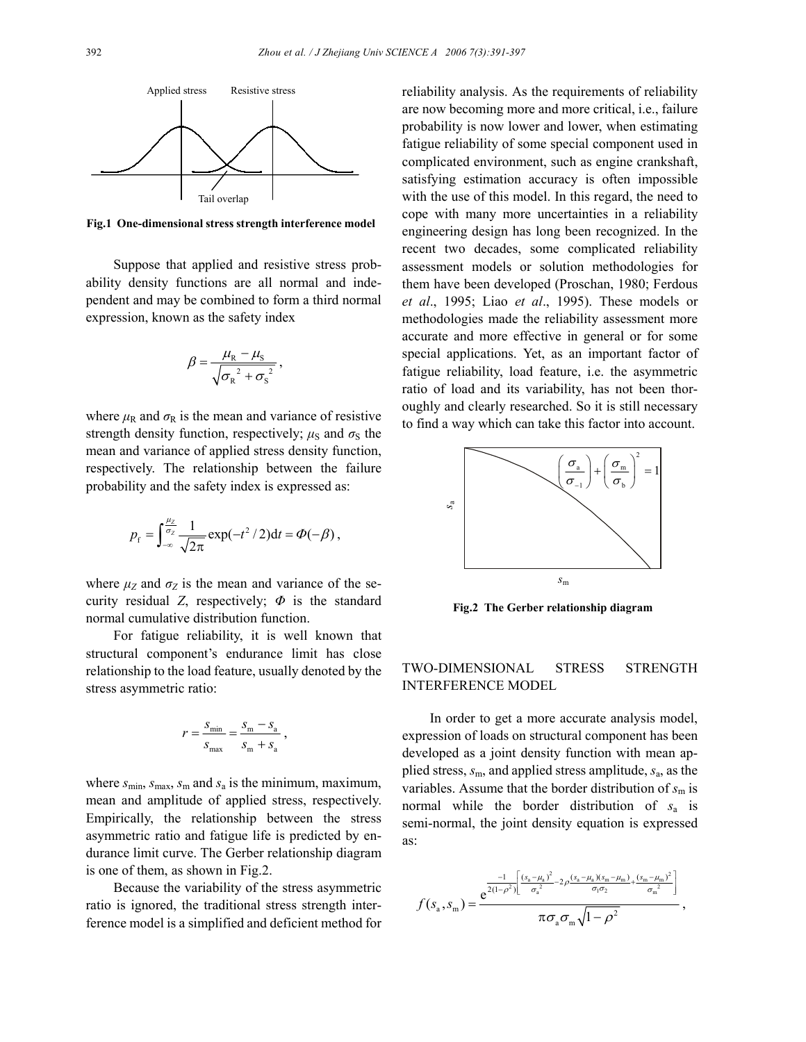

**Fig.1 One-dimensional stress strength interference model**

Suppose that applied and resistive stress probability density functions are all normal and independent and may be combined to form a third normal expression, known as the safety index

$$
\beta = \frac{\mu_{\rm R} - \mu_{\rm S}}{\sqrt{{\sigma_{\rm R}}^2 + {\sigma_{\rm S}}^2}},
$$

where  $\mu_R$  and  $\sigma_R$  is the mean and variance of resistive strength density function, respectively;  $\mu<sub>S</sub>$  and  $\sigma<sub>S</sub>$  the mean and variance of applied stress density function, respectively. The relationship between the failure probability and the safety index is expressed as:

$$
p_{\rm f}=\int_{-\infty}^{\frac{H_Z}{\sigma_Z}}\frac{1}{\sqrt{2\pi}}\exp(-t^2/2)\mathrm{d}t=\Phi(-\beta)\,,
$$

where  $\mu_Z$  and  $\sigma_Z$  is the mean and variance of the security residual *Z*, respectively; *Φ* is the standard normal cumulative distribution function.

For fatigue reliability, it is well known that structural component's endurance limit has close relationship to the load feature, usually denoted by the stress asymmetric ratio:

$$
r = \frac{s_\text{min}}{s_\text{max}} = \frac{s_\text{m} - s_\text{a}}{s_\text{m} + s_\text{a}}\,,
$$

where  $s_{\text{min}}$ ,  $s_{\text{max}}$ ,  $s_{\text{m}}$  and  $s_{\text{a}}$  is the minimum, maximum, mean and amplitude of applied stress, respectively. Empirically, the relationship between the stress asymmetric ratio and fatigue life is predicted by endurance limit curve. The Gerber relationship diagram is one of them, as shown in Fig.2.

Because the variability of the stress asymmetric ratio is ignored, the traditional stress strength interference model is a simplified and deficient method for reliability analysis. As the requirements of reliability are now becoming more and more critical, i.e., failure probability is now lower and lower, when estimating fatigue reliability of some special component used in complicated environment, such as engine crankshaft, satisfying estimation accuracy is often impossible with the use of this model. In this regard, the need to cope with many more uncertainties in a reliability engineering design has long been recognized. In the recent two decades, some complicated reliability assessment models or solution methodologies for them have been developed (Proschan, 1980; Ferdous *et al*., 1995; Liao *et al*., 1995). These models or methodologies made the reliability assessment more accurate and more effective in general or for some special applications. Yet, as an important factor of fatigue reliability, load feature, i.e. the asymmetric ratio of load and its variability, has not been thoroughly and clearly researched. So it is still necessary to find a way which can take this factor into account.



**Fig.2 The Gerber relationship diagram** 

## TWO-DIMENSIONAL STRESS STRENGTH INTERFERENCE MODEL

In order to get a more accurate analysis model, expression of loads on structural component has been developed as a joint density function with mean applied stress, *s*m, and applied stress amplitude, *s*a, as the variables. Assume that the border distribution of  $s<sub>m</sub>$  is normal while the border distribution of *s*a is semi-normal, the joint density equation is expressed as:

$$
f(s_{\rm a}, s_{\rm m}) = \frac{\mathrm{e}^{\frac{-1}{2(1-\rho^2)\left[\frac{(s_{\rm a}-\mu_{\rm a})^2}{\sigma_{\rm a}^2}-2\rho\frac{(s_{\rm a}-\mu_{\rm a})(s_{\rm m}-\mu_{\rm m})}{\sigma_{\rm 1}\sigma_2}+\frac{(s_{\rm m}-\mu_{\rm m})^2}{\sigma_{\rm m}^2}\right]}}{\pi\sigma_{\rm a}\sigma_{\rm m}\sqrt{1-\rho^2}}
$$

,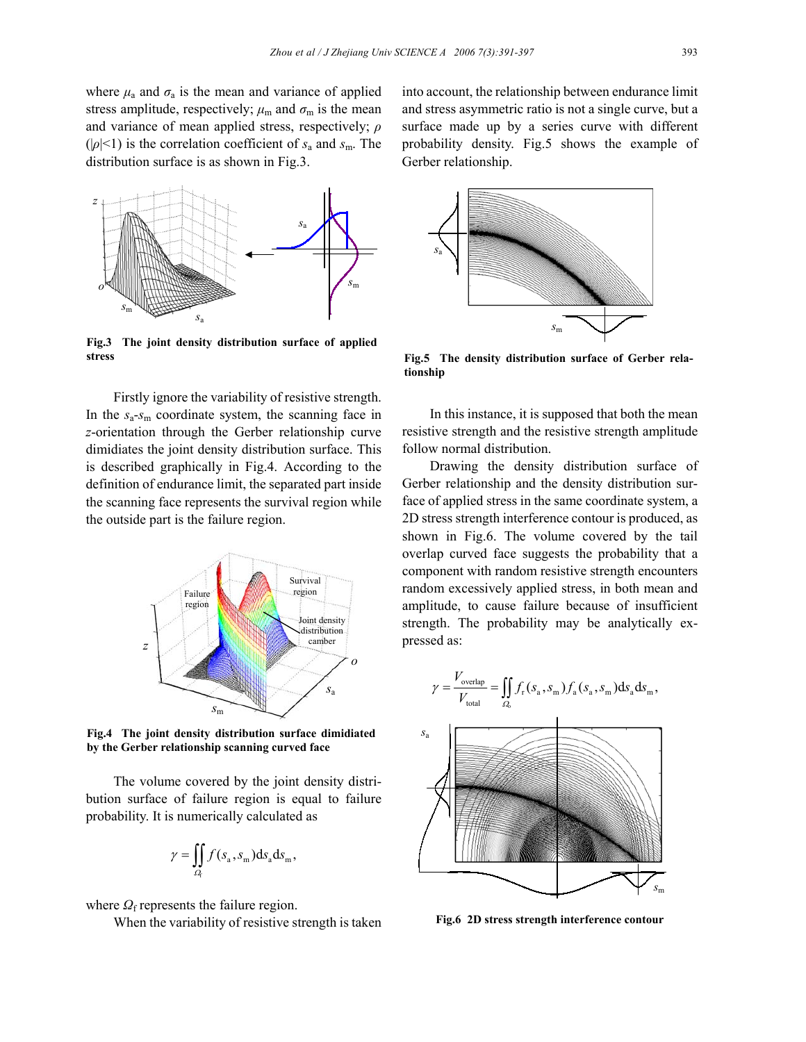where  $\mu_a$  and  $\sigma_a$  is the mean and variance of applied stress amplitude, respectively;  $\mu_{\rm m}$  and  $\sigma_{\rm m}$  is the mean and variance of mean applied stress, respectively; *ρ*  $(|\rho|<1)$  is the correlation coefficient of  $s_a$  and  $s_m$ . The distribution surface is as shown in Fig.3.



**Fig.3 The joint density distribution surface of applied stress**

Firstly ignore the variability of resistive strength. In the  $s_a$ - $s_m$  coordinate system, the scanning face in *z*-orientation through the Gerber relationship curve dimidiates the joint density distribution surface. This is described graphically in Fig.4. According to the definition of endurance limit, the separated part inside the scanning face represents the survival region while the outside part is the failure region.



**Fig.4 The joint density distribution surface dimidiated by the Gerber relationship scanning curved face**

The volume covered by the joint density distribution surface of failure region is equal to failure probability. It is numerically calculated as

$$
\gamma = \iint\limits_{\varOmega_{\rm f}} f(s_{\rm a}, s_{\rm m}) \mathrm{d}s_{\rm a} \mathrm{d}s_{\rm m},
$$

where  $Q_f$  represents the failure region.

When the variability of resistive strength is taken

into account, the relationship between endurance limit and stress asymmetric ratio is not a single curve, but a surface made up by a series curve with different probability density. Fig.5 shows the example of Gerber relationship.



**Fig.5 The density distribution surface of Gerber relationship**

In this instance, it is supposed that both the mean resistive strength and the resistive strength amplitude follow normal distribution.

Drawing the density distribution surface of Gerber relationship and the density distribution surface of applied stress in the same coordinate system, a 2D stress strength interference contour is produced, as shown in Fig.6. The volume covered by the tail overlap curved face suggests the probability that a component with random resistive strength encounters random excessively applied stress, in both mean and amplitude, to cause failure because of insufficient strength. The probability may be analytically expressed as:



**Fig.6 2D stress strength interference contour**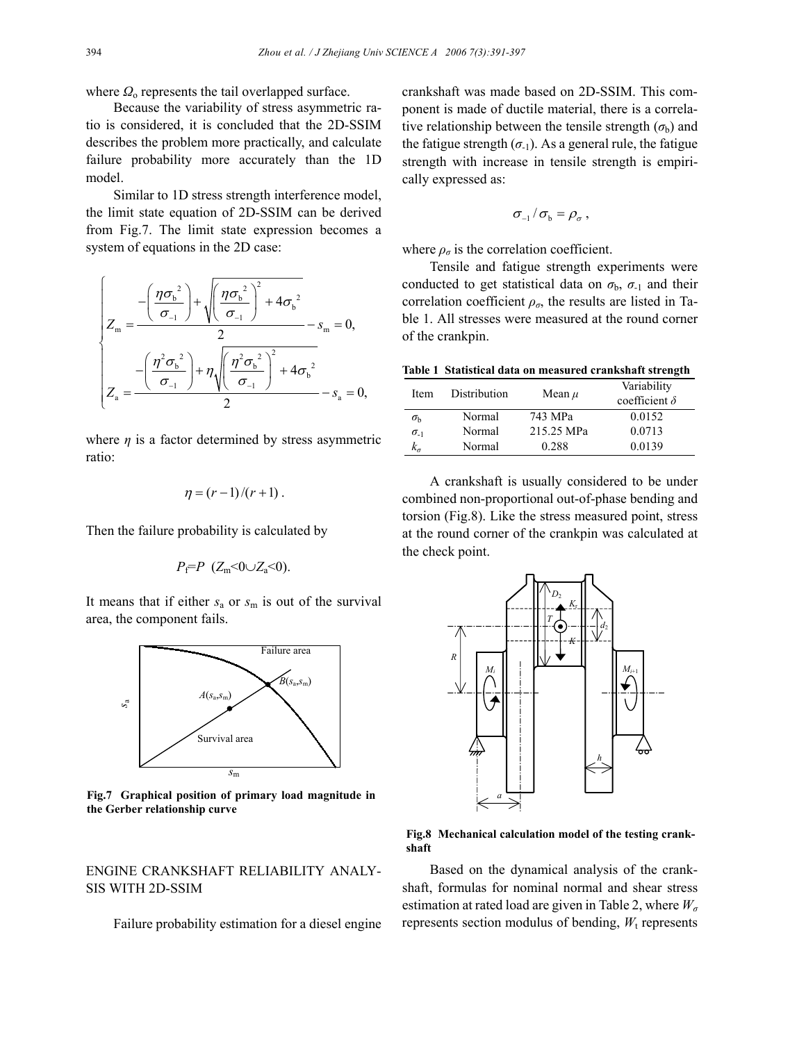where  $Q_0$  represents the tail overlapped surface.

Because the variability of stress asymmetric ratio is considered, it is concluded that the 2D-SSIM describes the problem more practically, and calculate failure probability more accurately than the 1D model.

Similar to 1D stress strength interference model, the limit state equation of 2D-SSIM can be derived from Fig.7. The limit state expression becomes a system of equations in the 2D case:

$$
Z_{\rm m} = \frac{-\left(\frac{\eta \sigma_{\rm b}^{2}}{\sigma_{\rm -1}}\right) + \sqrt{\left(\frac{\eta \sigma_{\rm b}^{2}}{\sigma_{\rm -1}}\right)^{2} + 4\sigma_{\rm b}^{2}}}{2} - s_{\rm m} = 0,
$$
  

$$
Z_{\rm a} = \frac{-\left(\frac{\eta^{2} \sigma_{\rm b}^{2}}{\sigma_{\rm -1}}\right) + \eta \sqrt{\left(\frac{\eta^{2} \sigma_{\rm b}^{2}}{\sigma_{\rm -1}}\right)^{2} + 4\sigma_{\rm b}^{2}}}{2} - s_{\rm a} = 0,
$$

where  $\eta$  is a factor determined by stress asymmetric ratio:

$$
\eta = (r-1)/(r+1).
$$

Then the failure probability is calculated by

$$
P_f = P (Z_m < 0 \cup Z_a < 0).
$$

It means that if either  $s_a$  or  $s_m$  is out of the survival area, the component fails.



**Fig.7 Graphical position of primary load magnitude in the Gerber relationship curve** 

## ENGINE CRANKSHAFT RELIABILITY ANALY-SIS WITH 2D-SSIM

Failure probability estimation for a diesel engine

crankshaft was made based on 2D-SSIM. This component is made of ductile material, there is a correlative relationship between the tensile strength  $(\sigma_b)$  and the fatigue strength  $(\sigma_{-1})$ . As a general rule, the fatigue strength with increase in tensile strength is empirically expressed as:

$$
\sigma_{-1}/\sigma_{\rm b}=\rho_{\sigma}
$$

where  $\rho_{\sigma}$  is the correlation coefficient.

Tensile and fatigue strength experiments were conducted to get statistical data on  $\sigma_{b}$ ,  $\sigma_{-1}$  and their correlation coefficient  $\rho_{\sigma}$ , the results are listed in Table 1. All stresses were measured at the round corner of the crankpin.

| Table 1 Statistical data on measured crankshaft strength |  |  |  |  |  |  |
|----------------------------------------------------------|--|--|--|--|--|--|
|----------------------------------------------------------|--|--|--|--|--|--|

| Item             | Distribution | Mean $\mu$ | Variability<br>coefficient $\delta$ |
|------------------|--------------|------------|-------------------------------------|
| $\sigma_{\rm b}$ | Normal       | 743 MPa    | 0.0152                              |
| $\sigma_{-1}$    | Normal       | 215.25 MPa | 0.0713                              |
| $k_{\sigma}$     | Normal       | 0.288      | 0.0139                              |

A crankshaft is usually considered to be under combined non-proportional out-of-phase bending and torsion (Fig.8). Like the stress measured point, stress at the round corner of the crankpin was calculated at the check point.



**Fig.8 Mechanical calculation model of the testing crankshaft**

Based on the dynamical analysis of the crankshaft, formulas for nominal normal and shear stress estimation at rated load are given in Table 2, where *W<sup>σ</sup>* represents section modulus of bending,  $W_t$  represents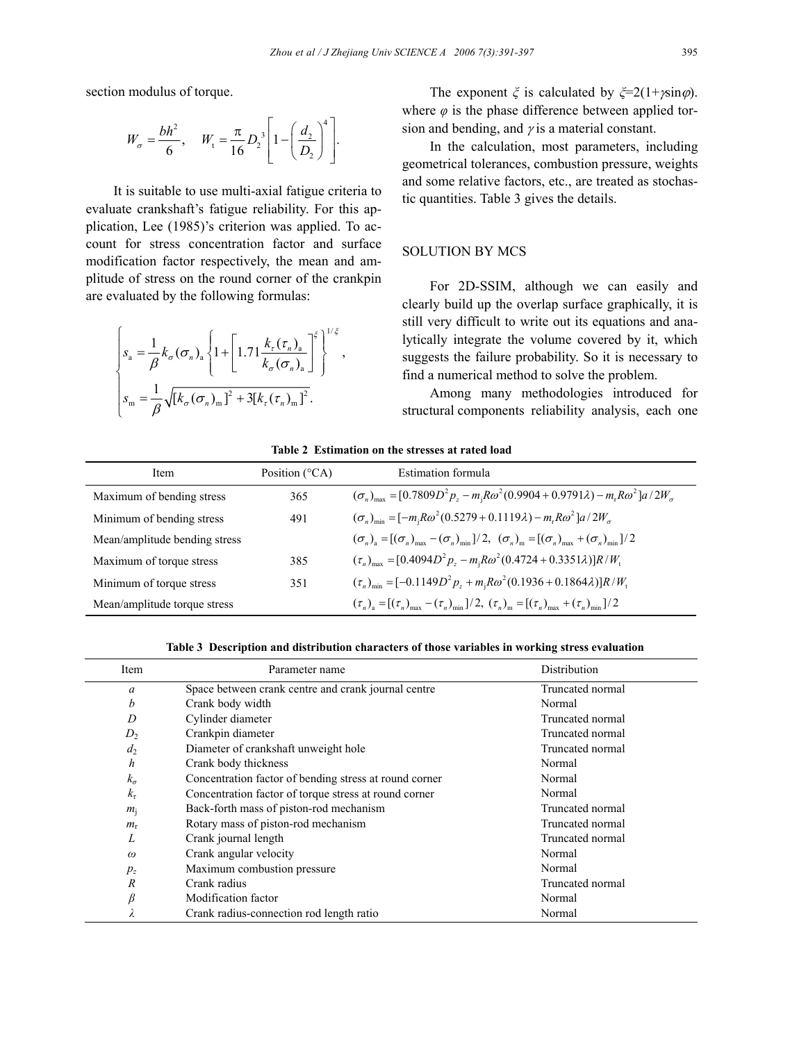section modulus of torque.

$$
W_{\sigma} = \frac{bh^2}{6}
$$
,  $W_t = \frac{\pi}{16} D_2^3 \left[ 1 - \left( \frac{d_2}{D_2} \right)^4 \right]$ .

It is suitable to use multi-axial fatigue criteria to evaluate crankshaft's fatigue reliability. For this application, Lee (1985)'s criterion was applied. To account for stress concentration factor and surface modification factor respectively, the mean and amplitude of stress on the round corner of the crankpin are evaluated by the following formulas:

$$
\begin{cases}\ns_{\mathbf{a}} = \frac{1}{\beta} k_{\sigma}(\sigma_n)_{\mathbf{a}} \left\{ 1 + \left[ 1.71 \frac{k_{\tau}(\tau_n)_{\mathbf{a}}}{k_{\sigma}(\sigma_n)_{\mathbf{a}}} \right]^{\xi} \right\}^{1/\xi}, \\
s_{\mathbf{m}} = \frac{1}{\beta} \sqrt{\left[ k_{\sigma}(\sigma_n)_{\mathbf{m}} \right]^2 + 3 \left[ k_{\tau}(\tau_n)_{\mathbf{m}} \right]^2}.\n\end{cases}
$$

The exponent  $\zeta$  is calculated by  $\zeta = 2(1 + \gamma \sin \varphi)$ . where  $\varphi$  is the phase difference between applied torsion and bending, and  $\gamma$  is a material constant.

In the calculation, most parameters, including geometrical tolerances, combustion pressure, weights and some relative factors, etc., are treated as stochastic quantities. Table 3 gives the details.

#### SOLUTION BY MCS

For 2D-SSIM, although we can easily and clearly build up the overlap surface graphically, it is still very difficult to write out its equations and analytically integrate the volume covered by it, which suggests the failure probability. So it is necessary to find a numerical method to solve the problem.

Among many methodologies introduced for structural components reliability analysis, each one

#### **Table 2 Estimation on the stresses at rated load**

| <b>Item</b>                   | Position $(^{\circ}CA)$ | Estimation formula                                                                                                                                               |
|-------------------------------|-------------------------|------------------------------------------------------------------------------------------------------------------------------------------------------------------|
| Maximum of bending stress     | 365                     | $(\sigma_n)_{\text{max}} = [0.7809D^2 p_z - m_i R \omega^2 (0.9904 + 0.9791\lambda) - m_r R \omega^2] a / 2W_\sigma$                                             |
| Minimum of bending stress     | 491                     | $(\sigma_n)_{\min} = [-m_i R \omega^2 (0.5279 + 0.1119 \lambda) - m_r R \omega^2] a / 2W_{\sigma}$                                                               |
| Mean/amplitude bending stress |                         | $(\sigma_n)_{\circ} = [(\sigma_n)_{\text{max}} - (\sigma_n)_{\text{min}}]/2$ , $(\sigma_n)_{\text{max}} = [(\sigma_n)_{\text{max}} + (\sigma_n)_{\text{min}}]/2$ |
| Maximum of torque stress      | 385                     | $(\tau_n)_{\text{max}} = [0.4094D^2 p_z - m_i R \omega^2 (0.4724 + 0.3351\lambda)]R/W_t$                                                                         |
| Minimum of torque stress      | 351                     | $(\tau_n)_{\min} = [-0.1149D^2p_z + m_iR\omega^2(0.1936 + 0.1864\lambda)]R/W_t$                                                                                  |
| Mean/amplitude torque stress  |                         | $(\tau_n)_a = [(\tau_n)_{\text{max}} - (\tau_n)_{\text{min}}]/2$ , $(\tau_n)_m = [(\tau_n)_{\text{max}} + (\tau_n)_{\text{min}}]/2$                              |

**Table 3 Description and distribution characters of those variables in working stress evaluation** 

| Item             | Parameter name                                         | Distribution     |
|------------------|--------------------------------------------------------|------------------|
| a                | Space between crank centre and crank journal centre    | Truncated normal |
| b                | Crank body width                                       | Normal           |
| D                | Cylinder diameter                                      | Truncated normal |
| $D_2$            | Crankpin diameter                                      | Truncated normal |
| $d_2$            | Diameter of crankshaft unweight hole                   | Truncated normal |
| h                | Crank body thickness                                   | Normal           |
| $k_{\sigma}$     | Concentration factor of bending stress at round corner | Normal           |
| $k_{\tau}$       | Concentration factor of torque stress at round corner  | Normal           |
| $m_i$            | Back-forth mass of piston-rod mechanism                | Truncated normal |
| $m_r$            | Rotary mass of piston-rod mechanism                    | Truncated normal |
| L                | Crank journal length                                   | Truncated normal |
| $\omega$         | Crank angular velocity                                 | Normal           |
| $p_z$            | Maximum combustion pressure                            | Normal           |
| $\boldsymbol{R}$ | Crank radius                                           | Truncated normal |
| $\beta$          | Modification factor                                    | Normal           |
|                  | Crank radius-connection rod length ratio               | Normal           |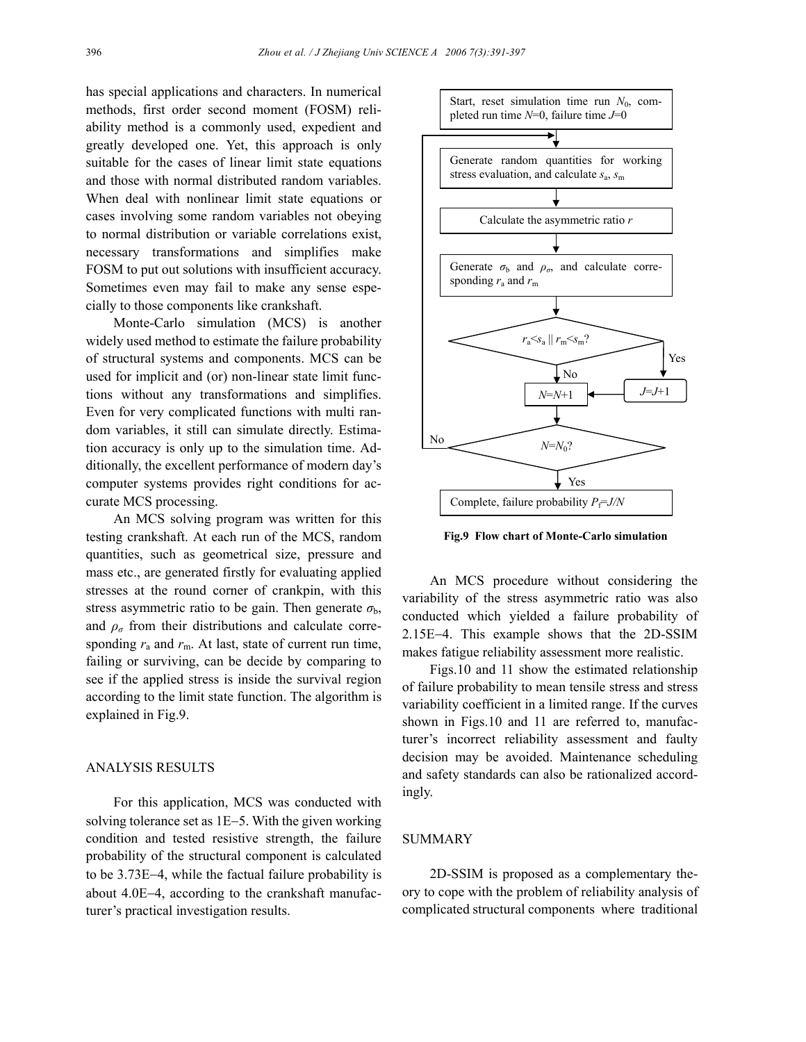has special applications and characters. In numerical methods, first order second moment (FOSM) reliability method is a commonly used, expedient and greatly developed one. Yet, this approach is only suitable for the cases of linear limit state equations and those with normal distributed random variables. When deal with nonlinear limit state equations or cases involving some random variables not obeying to normal distribution or variable correlations exist, necessary transformations and simplifies make FOSM to put out solutions with insufficient accuracy. Sometimes even may fail to make any sense especially to those components like crankshaft.

Monte-Carlo simulation (MCS) is another widely used method to estimate the failure probability of structural systems and components. MCS can be used for implicit and (or) non-linear state limit functions without any transformations and simplifies. Even for very complicated functions with multi random variables, it still can simulate directly. Estimation accuracy is only up to the simulation time. Additionally, the excellent performance of modern day's computer systems provides right conditions for accurate MCS processing.

An MCS solving program was written for this testing crankshaft. At each run of the MCS, random quantities, such as geometrical size, pressure and mass etc., are generated firstly for evaluating applied stresses at the round corner of crankpin, with this stress asymmetric ratio to be gain. Then generate  $\sigma_{b}$ , and  $\rho_{\sigma}$  from their distributions and calculate corresponding  $r_a$  and  $r_m$ . At last, state of current run time, failing or surviving, can be decide by comparing to see if the applied stress is inside the survival region according to the limit state function. The algorithm is explained in Fig.9.

## ANALYSIS RESULTS

For this application, MCS was conducted with solving tolerance set as 1E−5. With the given working condition and tested resistive strength, the failure probability of the structural component is calculated to be 3.73E−4, while the factual failure probability is about 4.0E−4, according to the crankshaft manufacturer's practical investigation results.



**Fig.9 Flow chart of Monte-Carlo simulation**

An MCS procedure without considering the variability of the stress asymmetric ratio was also conducted which yielded a failure probability of 2.15E−4. This example shows that the 2D-SSIM makes fatigue reliability assessment more realistic.

Figs.10 and 11 show the estimated relationship of failure probability to mean tensile stress and stress variability coefficient in a limited range. If the curves shown in Figs.10 and 11 are referred to, manufacturer's incorrect reliability assessment and faulty decision may be avoided. Maintenance scheduling and safety standards can also be rationalized accordingly.

#### SUMMARY

2D-SSIM is proposed as a complementary theory to cope with the problem of reliability analysis of complicated structural components where traditional